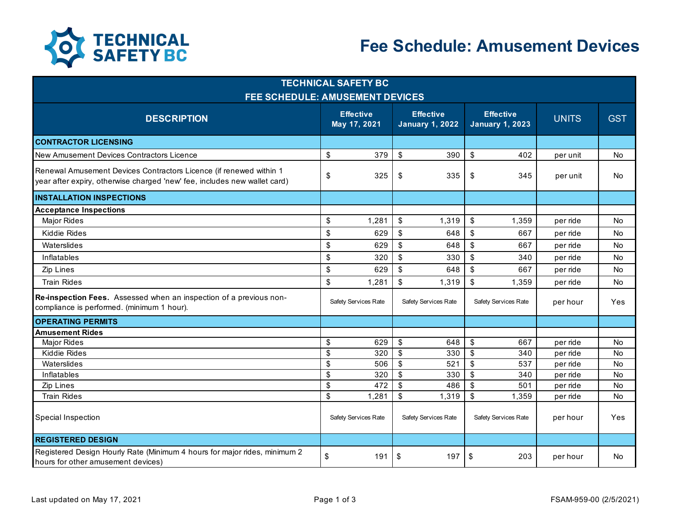

## **Fee Schedule: Amusement Devices**

| <b>TECHNICAL SAFETY BC</b><br><b>FEE SCHEDULE: AMUSEMENT DEVICES</b>                                                                            |               |                      |                           |                      |                           |                      |          |           |  |
|-------------------------------------------------------------------------------------------------------------------------------------------------|---------------|----------------------|---------------------------|----------------------|---------------------------|----------------------|----------|-----------|--|
|                                                                                                                                                 |               |                      |                           |                      |                           |                      |          |           |  |
| <b>CONTRACTOR LICENSING</b>                                                                                                                     |               |                      |                           |                      |                           |                      |          |           |  |
| New Amusement Devices Contractors Licence                                                                                                       | \$            | 379                  | \$                        | 390                  | \$                        | 402                  | per unit | No        |  |
| Renewal Amusement Devices Contractors Licence (if renewed within 1<br>year after expiry, otherwise charged 'new' fee, includes new wallet card) | \$            | 325                  | \$                        | 335                  | \$                        | 345                  | per unit | <b>No</b> |  |
| <b>INSTALLATION INSPECTIONS</b>                                                                                                                 |               |                      |                           |                      |                           |                      |          |           |  |
| <b>Acceptance Inspections</b>                                                                                                                   |               |                      |                           |                      |                           |                      |          |           |  |
| <b>Major Rides</b>                                                                                                                              | $\sqrt{2}$    | 1,281                | $\boldsymbol{\mathsf{S}}$ | 1,319                | $\sqrt[6]{\frac{1}{2}}$   | 1,359                | per ride | No        |  |
| Kiddie Rides                                                                                                                                    | \$            | 629                  | $\boldsymbol{\mathsf{S}}$ | 648                  | $\boldsymbol{\mathsf{S}}$ | 667                  | per ride | <b>No</b> |  |
| Waterslides                                                                                                                                     | \$            | 629                  | \$                        | 648                  | \$                        | 667                  | per ride | <b>No</b> |  |
| <b>Inflatables</b>                                                                                                                              | $\sqrt{2}$    | 320                  | \$                        | 330                  | \$                        | 340                  | per ride | <b>No</b> |  |
| Zip Lines                                                                                                                                       | $\mathsf{\$}$ | 629                  | \$                        | 648                  | $\sqrt[6]{\frac{1}{2}}$   | 667                  | per ride | <b>No</b> |  |
| <b>Train Rides</b>                                                                                                                              | $\mathsf{\$}$ | 1,281                | \$                        | 1,319                | \$                        | 1,359                | per ride | No        |  |
| Re-inspection Fees. Assessed when an inspection of a previous non-<br>compliance is performed. (minimum 1 hour).                                |               | Safety Services Rate |                           | Safety Services Rate |                           | Safety Services Rate | per hour | Yes       |  |
| <b>OPERATING PERMITS</b>                                                                                                                        |               |                      |                           |                      |                           |                      |          |           |  |
| <b>Amusement Rides</b>                                                                                                                          |               |                      |                           |                      |                           |                      |          |           |  |
| <b>Major Rides</b>                                                                                                                              | \$            | 629                  | \$                        | 648                  | \$                        | 667                  | per ride | <b>No</b> |  |
| Kiddie Rides                                                                                                                                    | $\mathfrak s$ | 320                  | $\mathfrak s$             | 330                  | $\mathfrak{S}$            | 340                  | per ride | No        |  |
| Waterslides                                                                                                                                     | \$            | 506                  | $\sqrt[6]{\frac{1}{2}}$   | 521                  | $\sqrt[6]{\frac{1}{2}}$   | 537                  | per ride | No        |  |
| <b>Inflatables</b>                                                                                                                              | $\mathsf{\$}$ | 320                  | \$                        | 330                  | $\mathfrak{s}$            | 340                  | per ride | <b>No</b> |  |
| Zip Lines                                                                                                                                       | \$            | 472                  | \$                        | 486                  | \$                        | 501                  | per ride | No        |  |
| <b>Train Rides</b>                                                                                                                              | $\mathsf{\$}$ | 1,281                | \$                        | 1,319                | $\sqrt[6]{\frac{1}{2}}$   | 1,359                | per ride | No        |  |
| Special Inspection                                                                                                                              |               | Safety Services Rate |                           | Safety Services Rate |                           | Safety Services Rate | per hour | Yes       |  |
| <b>REGISTERED DESIGN</b>                                                                                                                        |               |                      |                           |                      |                           |                      |          |           |  |
| Registered Design Hourly Rate (Minimum 4 hours for major rides, minimum 2<br>hours for other amusement devices)                                 | \$            | 191                  | \$                        | 197                  | \$                        | 203                  | per hour | No        |  |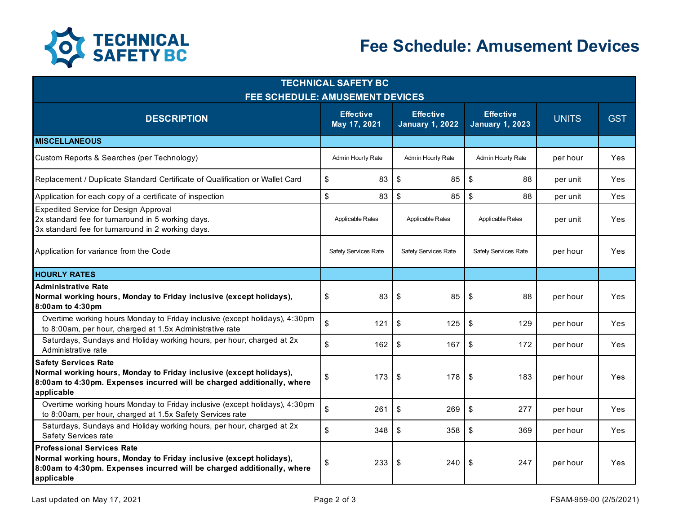

| <b>TECHNICAL SAFETY BC</b><br><b>FEE SCHEDULE: AMUSEMENT DEVICES</b>                                                                                                                              |                                  |                                            |                     |                                            |              |            |  |  |  |  |
|---------------------------------------------------------------------------------------------------------------------------------------------------------------------------------------------------|----------------------------------|--------------------------------------------|---------------------|--------------------------------------------|--------------|------------|--|--|--|--|
| <b>DESCRIPTION</b>                                                                                                                                                                                | <b>Effective</b><br>May 17, 2021 | <b>Effective</b><br><b>January 1, 2022</b> |                     | <b>Effective</b><br><b>January 1, 2023</b> | <b>UNITS</b> | <b>GST</b> |  |  |  |  |
| <b>MISCELLANEOUS</b>                                                                                                                                                                              |                                  |                                            |                     |                                            |              |            |  |  |  |  |
| Custom Reports & Searches (per Technology)                                                                                                                                                        | Admin Hourly Rate                |                                            | Admin Hourly Rate   | Admin Hourly Rate                          | per hour     | Yes        |  |  |  |  |
| Replacement / Duplicate Standard Certificate of Qualification or Wallet Card                                                                                                                      | \$                               | 83                                         | \$<br>85            | \$<br>88                                   | per unit     | <b>Yes</b> |  |  |  |  |
| Application for each copy of a certificate of inspection                                                                                                                                          | \$                               | 83                                         | $\mathfrak s$<br>85 | $\mathfrak{s}$<br>88                       | per unit     | Yes        |  |  |  |  |
| Expedited Service for Design Approval<br>2x standard fee for turnaround in 5 working days.<br>3x standard fee for turnaround in 2 working days.                                                   | Applicable Rates                 |                                            | Applicable Rates    | Applicable Rates                           | per unit     | Yes        |  |  |  |  |
| Application for variance from the Code                                                                                                                                                            | Safety Services Rate             | Safety Services Rate                       |                     | Safety Services Rate                       | per hour     | Yes        |  |  |  |  |
| <b>HOURLY RATES</b>                                                                                                                                                                               |                                  |                                            |                     |                                            |              |            |  |  |  |  |
| <b>Administrative Rate</b><br>Normal working hours, Monday to Friday inclusive (except holidays),<br>8:00am to 4:30pm                                                                             | \$                               | 83                                         | \$<br>85            | \$<br>88                                   | per hour     | Yes        |  |  |  |  |
| Overtime working hours Monday to Friday inclusive (except holidays), 4:30pm<br>to 8:00am, per hour, charged at 1.5x Administrative rate                                                           | \$                               | 121                                        | \$<br>125           | \$<br>129                                  | per hour     | Yes        |  |  |  |  |
| Saturdays, Sundays and Holiday working hours, per hour, charged at 2x<br>Administrative rate                                                                                                      | \$                               | 162                                        | \$<br>167           | \$<br>172                                  | per hour     | Yes        |  |  |  |  |
| <b>Safety Services Rate</b><br>Normal working hours, Monday to Friday inclusive (except holidays),<br>8:00am to 4:30pm. Expenses incurred will be charged additionally, where<br>applicable       | \$                               | 173                                        | \$<br>178           | -\$<br>183                                 | per hour     | Yes        |  |  |  |  |
| Overtime working hours Monday to Friday inclusive (except holidays), 4:30pm<br>to 8:00am, per hour, charged at 1.5x Safety Services rate                                                          | \$                               | 261                                        | \$<br>269           | \$<br>277                                  | per hour     | Yes        |  |  |  |  |
| Saturdays, Sundays and Holiday working hours, per hour, charged at 2x<br>Safety Services rate                                                                                                     | \$                               | 348                                        | \$<br>358           | \$<br>369                                  | per hour     | Yes        |  |  |  |  |
| <b>Professional Services Rate</b><br>Normal working hours, Monday to Friday inclusive (except holidays),<br>8:00am to 4:30pm. Expenses incurred will be charged additionally, where<br>applicable | \$                               | 233                                        | \$<br>240           | -\$<br>247                                 | per hour     | Yes        |  |  |  |  |